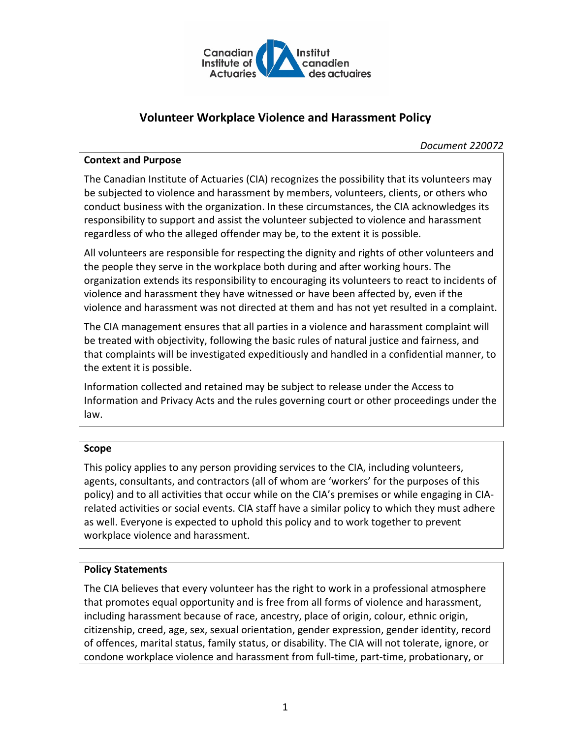

# **Volunteer Workplace Violence and Harassment Policy**

*Document 220072*

### **Context and Purpose**

The Canadian Institute of Actuaries (CIA) recognizes the possibility that its volunteers may be subjected to violence and harassment by members, volunteers, clients, or others who conduct business with the organization. In these circumstances, the CIA acknowledges its responsibility to support and assist the volunteer subjected to violence and harassment regardless of who the alleged offender may be, to the extent it is possible.

All volunteers are responsible for respecting the dignity and rights of other volunteers and the people they serve in the workplace both during and after working hours. The organization extends its responsibility to encouraging its volunteers to react to incidents of violence and harassment they have witnessed or have been affected by, even if the violence and harassment was not directed at them and has not yet resulted in a complaint.

The CIA management ensures that all parties in a violence and harassment complaint will be treated with objectivity, following the basic rules of natural justice and fairness, and that complaints will be investigated expeditiously and handled in a confidential manner, to the extent it is possible.

Information collected and retained may be subject to release under the Access to Information and Privacy Acts and the rules governing court or other proceedings under the law.

### **Scope**

This policy applies to any person providing services to the CIA, including volunteers, agents, consultants, and contractors (all of whom are 'workers' for the purposes of this policy) and to all activities that occur while on the CIA's premises or while engaging in CIArelated activities or social events. CIA staff have a similar policy to which they must adhere as well. Everyone is expected to uphold this policy and to work together to prevent workplace violence and harassment.

### **Policy Statements**

The CIA believes that every volunteer has the right to work in a professional atmosphere that promotes equal opportunity and is free from all forms of violence and harassment, including harassment because of race, ancestry, place of origin, colour, ethnic origin, citizenship, creed, age, sex, sexual orientation, gender expression, gender identity, record of offences, marital status, family status, or disability. The CIA will not tolerate, ignore, or condone workplace violence and harassment from full-time, part-time, probationary, or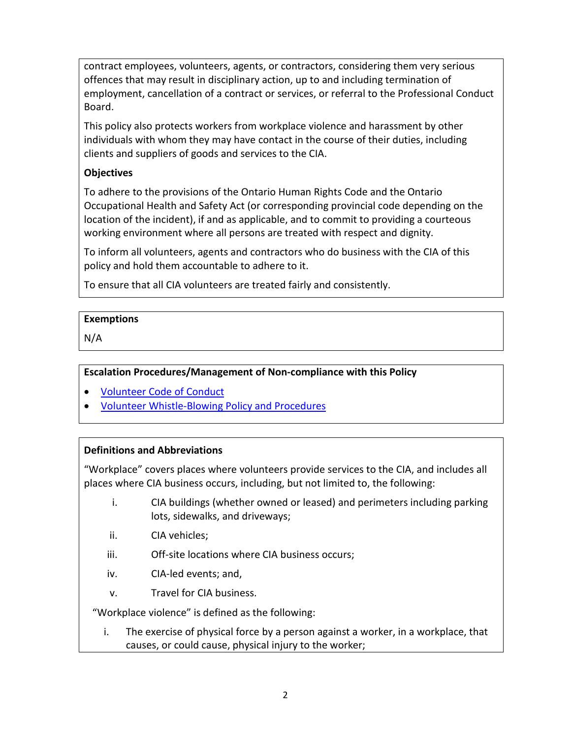contract employees, volunteers, agents, or contractors, considering them very serious offences that may result in disciplinary action, up to and including termination of employment, cancellation of a contract or services, or referral to the Professional Conduct Board.

This policy also protects workers from workplace violence and harassment by other individuals with whom they may have contact in the course of their duties, including clients and suppliers of goods and services to the CIA.

# **Objectives**

To adhere to the provisions of the Ontario Human Rights Code and the Ontario Occupational Health and Safety Act (or corresponding provincial code depending on the location of the incident), if and as applicable, and to commit to providing a courteous working environment where all persons are treated with respect and dignity.

To inform all volunteers, agents and contractors who do business with the CIA of this policy and hold them accountable to adhere to it.

To ensure that all CIA volunteers are treated fairly and consistently.

# **Exemptions**

N/A

**Escalation Procedures/Management of Non-compliance with this Policy**

- [Volunteer Code of Conduct](http://www.cia-ica.ca/docs/default-source/2020/220071e.pdf)
- [Volunteer Whistle-Blowing Policy](http://www.cia-ica.ca/docs/default-source/2019/219002e.pdf) and Procedures

# **Definitions and Abbreviations**

"Workplace" covers places where volunteers provide services to the CIA, and includes all places where CIA business occurs, including, but not limited to, the following:

- i. CIA buildings (whether owned or leased) and perimeters including parking lots, sidewalks, and driveways;
- ii. CIA vehicles;
- iii. Off-site locations where CIA business occurs;
- iv. CIA-led events; and,
- v. Travel for CIA business.

"Workplace violence" is defined as the following:

i. The exercise of physical force by a person against a worker, in a workplace, that causes, or could cause, physical injury to the worker;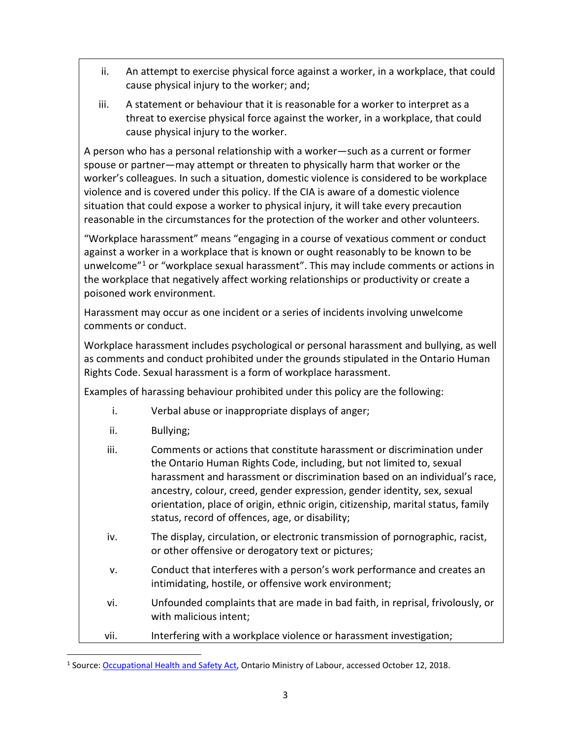- ii. An attempt to exercise physical force against a worker, in a workplace, that could cause physical injury to the worker; and;
- iii. A statement or behaviour that it is reasonable for a worker to interpret as a threat to exercise physical force against the worker, in a workplace, that could cause physical injury to the worker.

A person who has a personal relationship with a worker—such as a current or former spouse or partner—may attempt or threaten to physically harm that worker or the worker's colleagues. In such a situation, domestic violence is considered to be workplace violence and is covered under this policy. If the CIA is aware of a domestic violence situation that could expose a worker to physical injury, it will take every precaution reasonable in the circumstances for the protection of the worker and other volunteers.

"Workplace harassment" means "engaging in a course of vexatious comment or conduct against a worker in a workplace that is known or ought reasonably to be known to be unwelcome<sup>"[1](#page-2-0)</sup> or "workplace sexual harassment". This may include comments or actions in the workplace that negatively affect working relationships or productivity or create a poisoned work environment.

Harassment may occur as one incident or a series of incidents involving unwelcome comments or conduct.

Workplace harassment includes psychological or personal harassment and bullying, as well as comments and conduct prohibited under the grounds stipulated in the Ontario Human Rights Code. Sexual harassment is a form of workplace harassment.

Examples of harassing behaviour prohibited under this policy are the following:

- i. Verbal abuse or inappropriate displays of anger;
- ii. Bullying;

| iii. | Comments or actions that constitute harassment or discrimination under<br>the Ontario Human Rights Code, including, but not limited to, sexual<br>harassment and harassment or discrimination based on an individual's race,<br>ancestry, colour, creed, gender expression, gender identity, sex, sexual<br>orientation, place of origin, ethnic origin, citizenship, marital status, family<br>status, record of offences, age, or disability; |
|------|-------------------------------------------------------------------------------------------------------------------------------------------------------------------------------------------------------------------------------------------------------------------------------------------------------------------------------------------------------------------------------------------------------------------------------------------------|
| iv.  | The display, circulation, or electronic transmission of pornographic, racist,<br>or other offensive or derogatory text or pictures;                                                                                                                                                                                                                                                                                                             |
| v.   | Conduct that interferes with a person's work performance and creates an<br>intimidating, hostile, or offensive work environment;                                                                                                                                                                                                                                                                                                                |
| vi.  | Unfounded complaints that are made in bad faith, in reprisal, frivolously, or<br>with malicious intent;                                                                                                                                                                                                                                                                                                                                         |
| vii. | Interfering with a workplace violence or harassment investigation;                                                                                                                                                                                                                                                                                                                                                                              |

<span id="page-2-0"></span><sup>1</sup> Source: [Occupational Health and Safety Act,](https://www.ontario.ca/laws/statute/90o01?_ga=2.69686805.427867232.1539366722-14305150.1539366722) Ontario Ministry of Labour, accessed October 12, 2018.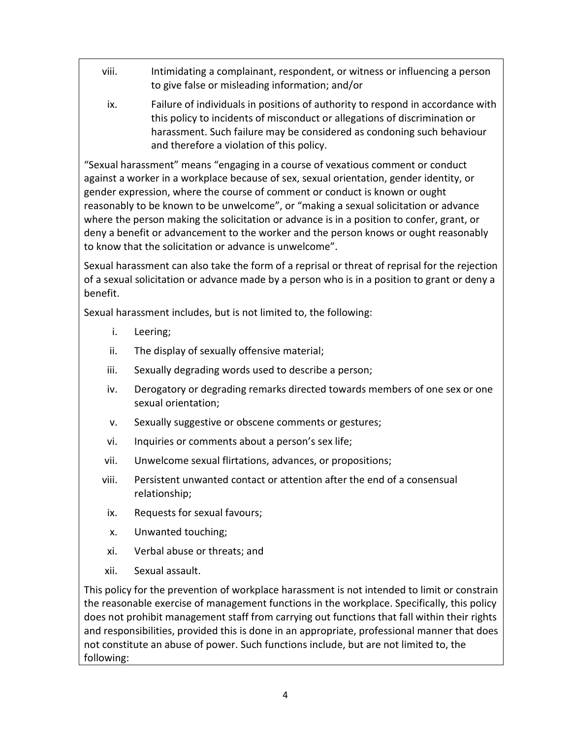- viii. Intimidating a complainant, respondent, or witness or influencing a person to give false or misleading information; and/or
	- ix. Failure of individuals in positions of authority to respond in accordance with this policy to incidents of misconduct or allegations of discrimination or harassment. Such failure may be considered as condoning such behaviour and therefore a violation of this policy.

"Sexual harassment" means "engaging in a course of vexatious comment or conduct against a worker in a workplace because of sex, sexual orientation, gender identity, or gender expression, where the course of comment or conduct is known or ought reasonably to be known to be unwelcome", or "making a sexual solicitation or advance where the person making the solicitation or advance is in a position to confer, grant, or deny a benefit or advancement to the worker and the person knows or ought reasonably to know that the solicitation or advance is unwelcome".

Sexual harassment can also take the form of a reprisal or threat of reprisal for the rejection of a sexual solicitation or advance made by a person who is in a position to grant or deny a benefit.

Sexual harassment includes, but is not limited to, the following:

- i. Leering;
- ii. The display of sexually offensive material;
- iii. Sexually degrading words used to describe a person;
- iv. Derogatory or degrading remarks directed towards members of one sex or one sexual orientation;
- v. Sexually suggestive or obscene comments or gestures;
- vi. Inquiries or comments about a person's sex life;
- vii. Unwelcome sexual flirtations, advances, or propositions;
- viii. Persistent unwanted contact or attention after the end of a consensual relationship;
- ix. Requests for sexual favours;
- x. Unwanted touching;
- xi. Verbal abuse or threats; and
- xii. Sexual assault.

This policy for the prevention of workplace harassment is not intended to limit or constrain the reasonable exercise of management functions in the workplace. Specifically, this policy does not prohibit management staff from carrying out functions that fall within their rights and responsibilities, provided this is done in an appropriate, professional manner that does not constitute an abuse of power. Such functions include, but are not limited to, the following: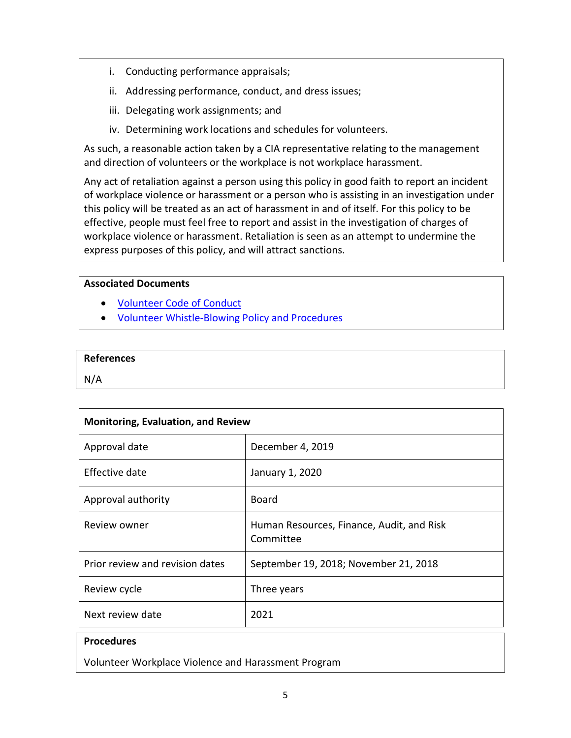- i. Conducting performance appraisals;
- ii. Addressing performance, conduct, and dress issues;
- iii. Delegating work assignments; and
- iv. Determining work locations and schedules for volunteers.

As such, a reasonable action taken by a CIA representative relating to the management and direction of volunteers or the workplace is not workplace harassment.

Any act of retaliation against a person using this policy in good faith to report an incident of workplace violence or harassment or a person who is assisting in an investigation under this policy will be treated as an act of harassment in and of itself. For this policy to be effective, people must feel free to report and assist in the investigation of charges of workplace violence or harassment. Retaliation is seen as an attempt to undermine the express purposes of this policy, and will attract sanctions.

### **Associated Documents**

- [Volunteer Code of Conduct](http://www.cia-ica.ca/docs/default-source/2020/220071e.pdf)
- [Volunteer Whistle-Blowing Policy and Procedures](http://www.cia-ica.ca/docs/default-source/2019/219002e.pdf)

## **References**

N/A

| <b>Monitoring, Evaluation, and Review</b> |                                                        |  |  |
|-------------------------------------------|--------------------------------------------------------|--|--|
| Approval date                             | December 4, 2019                                       |  |  |
| Effective date                            | January 1, 2020                                        |  |  |
| Approval authority                        | <b>Board</b>                                           |  |  |
| Review owner                              | Human Resources, Finance, Audit, and Risk<br>Committee |  |  |
| Prior review and revision dates           | September 19, 2018; November 21, 2018                  |  |  |
| Review cycle                              | Three years                                            |  |  |
| Next review date                          | 2021                                                   |  |  |
| <b>Procedures</b>                         |                                                        |  |  |

Volunteer Workplace Violence and Harassment Program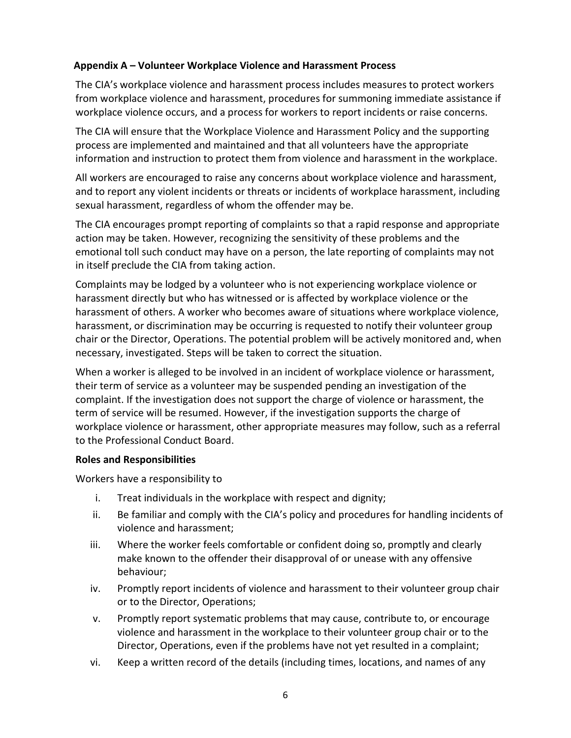## **Appendix A – Volunteer Workplace Violence and Harassment Process**

The CIA's workplace violence and harassment process includes measures to protect workers from workplace violence and harassment, procedures for summoning immediate assistance if workplace violence occurs, and a process for workers to report incidents or raise concerns.

The CIA will ensure that the Workplace Violence and Harassment Policy and the supporting process are implemented and maintained and that all volunteers have the appropriate information and instruction to protect them from violence and harassment in the workplace.

All workers are encouraged to raise any concerns about workplace violence and harassment, and to report any violent incidents or threats or incidents of workplace harassment, including sexual harassment, regardless of whom the offender may be.

The CIA encourages prompt reporting of complaints so that a rapid response and appropriate action may be taken. However, recognizing the sensitivity of these problems and the emotional toll such conduct may have on a person, the late reporting of complaints may not in itself preclude the CIA from taking action.

Complaints may be lodged by a volunteer who is not experiencing workplace violence or harassment directly but who has witnessed or is affected by workplace violence or the harassment of others. A worker who becomes aware of situations where workplace violence, harassment, or discrimination may be occurring is requested to notify their volunteer group chair or the Director, Operations. The potential problem will be actively monitored and, when necessary, investigated. Steps will be taken to correct the situation.

When a worker is alleged to be involved in an incident of workplace violence or harassment, their term of service as a volunteer may be suspended pending an investigation of the complaint. If the investigation does not support the charge of violence or harassment, the term of service will be resumed. However, if the investigation supports the charge of workplace violence or harassment, other appropriate measures may follow, such as a referral to the Professional Conduct Board.

### **Roles and Responsibilities**

Workers have a responsibility to

- i. Treat individuals in the workplace with respect and dignity;
- ii. Be familiar and comply with the CIA's policy and procedures for handling incidents of violence and harassment;
- iii. Where the worker feels comfortable or confident doing so, promptly and clearly make known to the offender their disapproval of or unease with any offensive behaviour;
- iv. Promptly report incidents of violence and harassment to their volunteer group chair or to the Director, Operations;
- v. Promptly report systematic problems that may cause, contribute to, or encourage violence and harassment in the workplace to their volunteer group chair or to the Director, Operations, even if the problems have not yet resulted in a complaint;
- vi. Keep a written record of the details (including times, locations, and names of any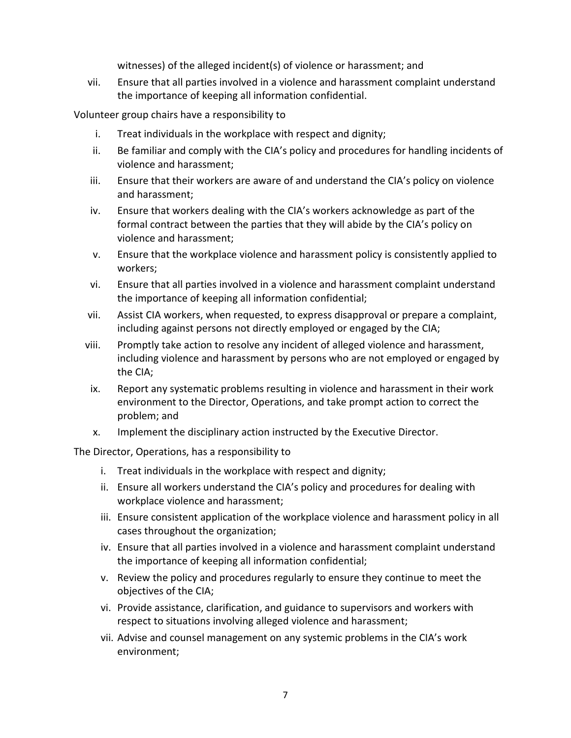witnesses) of the alleged incident(s) of violence or harassment; and

vii. Ensure that all parties involved in a violence and harassment complaint understand the importance of keeping all information confidential.

Volunteer group chairs have a responsibility to

- i. Treat individuals in the workplace with respect and dignity;
- ii. Be familiar and comply with the CIA's policy and procedures for handling incidents of violence and harassment;
- iii. Ensure that their workers are aware of and understand the CIA's policy on violence and harassment;
- iv. Ensure that workers dealing with the CIA's workers acknowledge as part of the formal contract between the parties that they will abide by the CIA's policy on violence and harassment;
- v. Ensure that the workplace violence and harassment policy is consistently applied to workers;
- vi. Ensure that all parties involved in a violence and harassment complaint understand the importance of keeping all information confidential;
- vii. Assist CIA workers, when requested, to express disapproval or prepare a complaint, including against persons not directly employed or engaged by the CIA;
- viii. Promptly take action to resolve any incident of alleged violence and harassment, including violence and harassment by persons who are not employed or engaged by the CIA;
- ix. Report any systematic problems resulting in violence and harassment in their work environment to the Director, Operations, and take prompt action to correct the problem; and
- x. Implement the disciplinary action instructed by the Executive Director.

The Director, Operations, has a responsibility to

- i. Treat individuals in the workplace with respect and dignity;
- ii. Ensure all workers understand the CIA's policy and procedures for dealing with workplace violence and harassment;
- iii. Ensure consistent application of the workplace violence and harassment policy in all cases throughout the organization;
- iv. Ensure that all parties involved in a violence and harassment complaint understand the importance of keeping all information confidential;
- v. Review the policy and procedures regularly to ensure they continue to meet the objectives of the CIA;
- vi. Provide assistance, clarification, and guidance to supervisors and workers with respect to situations involving alleged violence and harassment;
- vii. Advise and counsel management on any systemic problems in the CIA's work environment;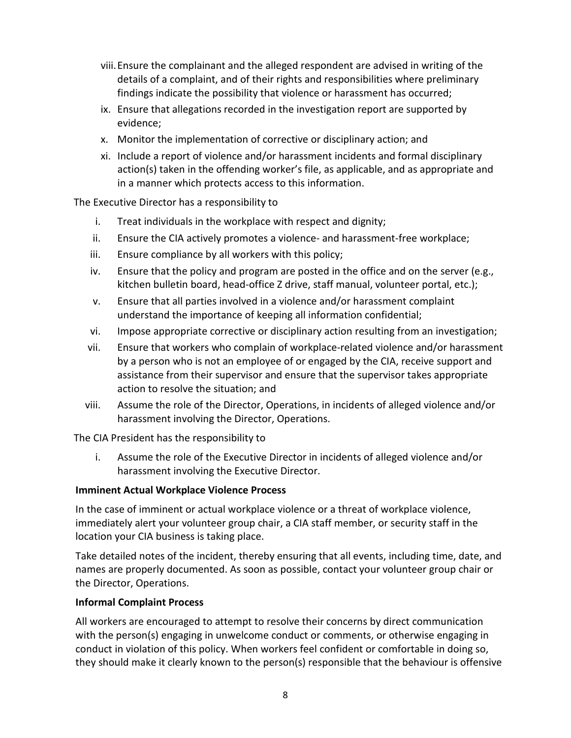- viii.Ensure the complainant and the alleged respondent are advised in writing of the details of a complaint, and of their rights and responsibilities where preliminary findings indicate the possibility that violence or harassment has occurred;
- ix. Ensure that allegations recorded in the investigation report are supported by evidence;
- x. Monitor the implementation of corrective or disciplinary action; and
- xi. Include a report of violence and/or harassment incidents and formal disciplinary action(s) taken in the offending worker's file, as applicable, and as appropriate and in a manner which protects access to this information.

The Executive Director has a responsibility to

- i. Treat individuals in the workplace with respect and dignity;
- ii. Ensure the CIA actively promotes a violence- and harassment-free workplace;
- iii. Ensure compliance by all workers with this policy;
- iv. Ensure that the policy and program are posted in the office and on the server (e.g., kitchen bulletin board, head-office Z drive, staff manual, volunteer portal, etc.);
- v. Ensure that all parties involved in a violence and/or harassment complaint understand the importance of keeping all information confidential;
- vi. Impose appropriate corrective or disciplinary action resulting from an investigation;
- vii. Ensure that workers who complain of workplace-related violence and/or harassment by a person who is not an employee of or engaged by the CIA, receive support and assistance from their supervisor and ensure that the supervisor takes appropriate action to resolve the situation; and
- viii. Assume the role of the Director, Operations, in incidents of alleged violence and/or harassment involving the Director, Operations.

The CIA President has the responsibility to

i. Assume the role of the Executive Director in incidents of alleged violence and/or harassment involving the Executive Director.

# **Imminent Actual Workplace Violence Process**

In the case of imminent or actual workplace violence or a threat of workplace violence, immediately alert your volunteer group chair, a CIA staff member, or security staff in the location your CIA business is taking place.

Take detailed notes of the incident, thereby ensuring that all events, including time, date, and names are properly documented. As soon as possible, contact your volunteer group chair or the Director, Operations.

# **Informal Complaint Process**

All workers are encouraged to attempt to resolve their concerns by direct communication with the person(s) engaging in unwelcome conduct or comments, or otherwise engaging in conduct in violation of this policy. When workers feel confident or comfortable in doing so, they should make it clearly known to the person(s) responsible that the behaviour is offensive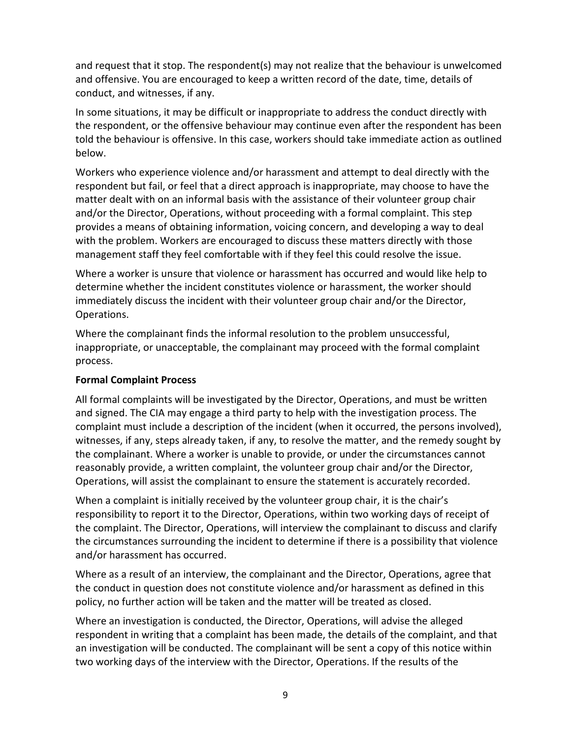and request that it stop. The respondent(s) may not realize that the behaviour is unwelcomed and offensive. You are encouraged to keep a written record of the date, time, details of conduct, and witnesses, if any.

In some situations, it may be difficult or inappropriate to address the conduct directly with the respondent, or the offensive behaviour may continue even after the respondent has been told the behaviour is offensive. In this case, workers should take immediate action as outlined below.

Workers who experience violence and/or harassment and attempt to deal directly with the respondent but fail, or feel that a direct approach is inappropriate, may choose to have the matter dealt with on an informal basis with the assistance of their volunteer group chair and/or the Director, Operations, without proceeding with a formal complaint. This step provides a means of obtaining information, voicing concern, and developing a way to deal with the problem. Workers are encouraged to discuss these matters directly with those management staff they feel comfortable with if they feel this could resolve the issue.

Where a worker is unsure that violence or harassment has occurred and would like help to determine whether the incident constitutes violence or harassment, the worker should immediately discuss the incident with their volunteer group chair and/or the Director, Operations.

Where the complainant finds the informal resolution to the problem unsuccessful, inappropriate, or unacceptable, the complainant may proceed with the formal complaint process.

### **Formal Complaint Process**

All formal complaints will be investigated by the Director, Operations, and must be written and signed. The CIA may engage a third party to help with the investigation process. The complaint must include a description of the incident (when it occurred, the persons involved), witnesses, if any, steps already taken, if any, to resolve the matter, and the remedy sought by the complainant. Where a worker is unable to provide, or under the circumstances cannot reasonably provide, a written complaint, the volunteer group chair and/or the Director, Operations, will assist the complainant to ensure the statement is accurately recorded.

When a complaint is initially received by the volunteer group chair, it is the chair's responsibility to report it to the Director, Operations, within two working days of receipt of the complaint. The Director, Operations, will interview the complainant to discuss and clarify the circumstances surrounding the incident to determine if there is a possibility that violence and/or harassment has occurred.

Where as a result of an interview, the complainant and the Director, Operations, agree that the conduct in question does not constitute violence and/or harassment as defined in this policy, no further action will be taken and the matter will be treated as closed.

Where an investigation is conducted, the Director, Operations, will advise the alleged respondent in writing that a complaint has been made, the details of the complaint, and that an investigation will be conducted. The complainant will be sent a copy of this notice within two working days of the interview with the Director, Operations. If the results of the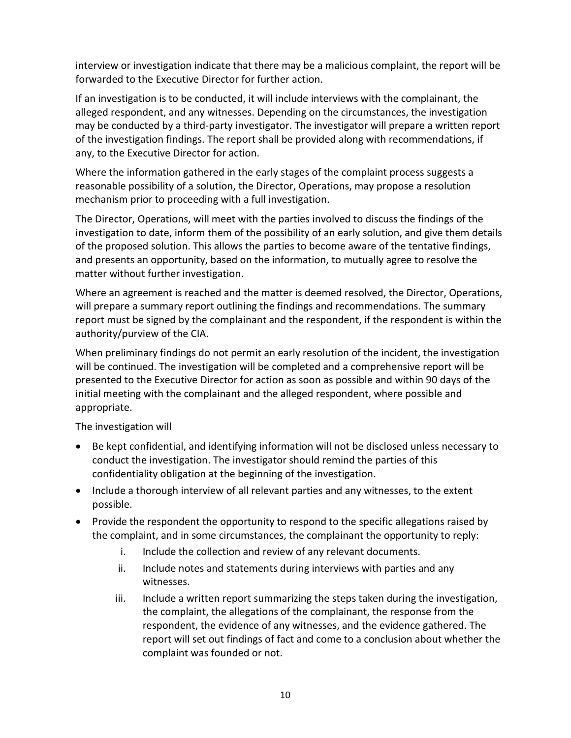interview or investigation indicate that there may be a malicious complaint, the report will be forwarded to the Executive Director for further action.

If an investigation is to be conducted, it will include interviews with the complainant, the alleged respondent, and any witnesses. Depending on the circumstances, the investigation may be conducted by a third-party investigator. The investigator will prepare a written report of the investigation findings. The report shall be provided along with recommendations, if any, to the Executive Director for action.

Where the information gathered in the early stages of the complaint process suggests a reasonable possibility of a solution, the Director, Operations, may propose a resolution mechanism prior to proceeding with a full investigation.

The Director, Operations, will meet with the parties involved to discuss the findings of the investigation to date, inform them of the possibility of an early solution, and give them details of the proposed solution. This allows the parties to become aware of the tentative findings, and presents an opportunity, based on the information, to mutually agree to resolve the matter without further investigation.

Where an agreement is reached and the matter is deemed resolved, the Director, Operations, will prepare a summary report outlining the findings and recommendations. The summary report must be signed by the complainant and the respondent, if the respondent is within the authority/purview of the CIA.

When preliminary findings do not permit an early resolution of the incident, the investigation will be continued. The investigation will be completed and a comprehensive report will be presented to the Executive Director for action as soon as possible and within 90 days of the initial meeting with the complainant and the alleged respondent, where possible and appropriate.

The investigation will

- Be kept confidential, and identifying information will not be disclosed unless necessary to conduct the investigation. The investigator should remind the parties of this confidentiality obligation at the beginning of the investigation.
- Include a thorough interview of all relevant parties and any witnesses, to the extent possible.
- Provide the respondent the opportunity to respond to the specific allegations raised by the complaint, and in some circumstances, the complainant the opportunity to reply:
	- i. Include the collection and review of any relevant documents.
	- ii. Include notes and statements during interviews with parties and any witnesses.
	- iii. Include a written report summarizing the steps taken during the investigation, the complaint, the allegations of the complainant, the response from the respondent, the evidence of any witnesses, and the evidence gathered. The report will set out findings of fact and come to a conclusion about whether the complaint was founded or not.